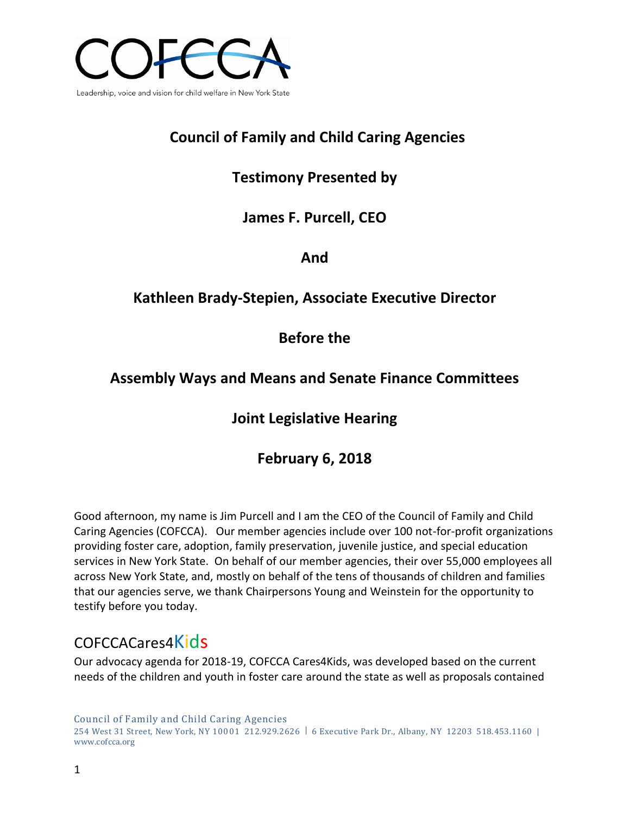

# **Council of Family and Child Caring Agencies**

# **Testimony Presented by**

**James F. Purcell, CEO**

**And**

# **Kathleen Brady-Stepien, Associate Executive Director**

## **Before the**

## **Assembly Ways and Means and Senate Finance Committees**

# **Joint Legislative Hearing**

# **February 6, 2018**

Good afternoon, my name is Jim Purcell and I am the CEO of the Council of Family and Child Caring Agencies (COFCCA). Our member agencies include over 100 not-for-profit organizations providing foster care, adoption, family preservation, juvenile justice, and special education services in New York State. On behalf of our member agencies, their over 55,000 employees all across New York State, and, mostly on behalf of the tens of thousands of children and families that our agencies serve, we thank Chairpersons Young and Weinstein for the opportunity to testify before you today.

# COFCCACares4Kids

Our advocacy agenda for 2018-19, COFCCA Cares4Kids, was developed based on the current needs of the children and youth in foster care around the state as well as proposals contained

Council of Family and Child Caring Agencies 254 West 31 Street, New York, NY 10001 212.929.2626 | 6 Executive Park Dr., Albany, NY 12203 518.453.1160 | www.cofcca.org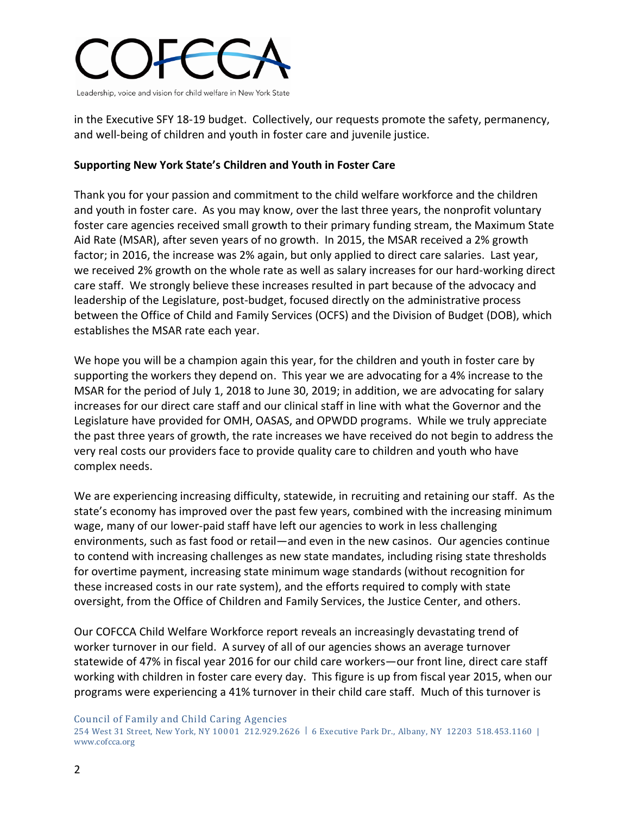

in the Executive SFY 18-19 budget. Collectively, our requests promote the safety, permanency, and well-being of children and youth in foster care and juvenile justice.

### **Supporting New York State's Children and Youth in Foster Care**

Thank you for your passion and commitment to the child welfare workforce and the children and youth in foster care. As you may know, over the last three years, the nonprofit voluntary foster care agencies received small growth to their primary funding stream, the Maximum State Aid Rate (MSAR), after seven years of no growth. In 2015, the MSAR received a 2% growth factor; in 2016, the increase was 2% again, but only applied to direct care salaries. Last year, we received 2% growth on the whole rate as well as salary increases for our hard-working direct care staff. We strongly believe these increases resulted in part because of the advocacy and leadership of the Legislature, post-budget, focused directly on the administrative process between the Office of Child and Family Services (OCFS) and the Division of Budget (DOB), which establishes the MSAR rate each year.

We hope you will be a champion again this year, for the children and youth in foster care by supporting the workers they depend on. This year we are advocating for a 4% increase to the MSAR for the period of July 1, 2018 to June 30, 2019; in addition, we are advocating for salary increases for our direct care staff and our clinical staff in line with what the Governor and the Legislature have provided for OMH, OASAS, and OPWDD programs. While we truly appreciate the past three years of growth, the rate increases we have received do not begin to address the very real costs our providers face to provide quality care to children and youth who have complex needs.

We are experiencing increasing difficulty, statewide, in recruiting and retaining our staff. As the state's economy has improved over the past few years, combined with the increasing minimum wage, many of our lower-paid staff have left our agencies to work in less challenging environments, such as fast food or retail—and even in the new casinos. Our agencies continue to contend with increasing challenges as new state mandates, including rising state thresholds for overtime payment, increasing state minimum wage standards (without recognition for these increased costs in our rate system), and the efforts required to comply with state oversight, from the Office of Children and Family Services, the Justice Center, and others.

Our COFCCA Child Welfare Workforce report reveals an increasingly devastating trend of worker turnover in our field. A survey of all of our agencies shows an average turnover statewide of 47% in fiscal year 2016 for our child care workers—our front line, direct care staff working with children in foster care every day. This figure is up from fiscal year 2015, when our programs were experiencing a 41% turnover in their child care staff. Much of this turnover is

Council of Family and Child Caring Agencies

<sup>254</sup> West 31 Street, New York, NY 10001 212.929.2626 | 6 Executive Park Dr., Albany, NY 12203 518.453.1160 | www.cofcca.org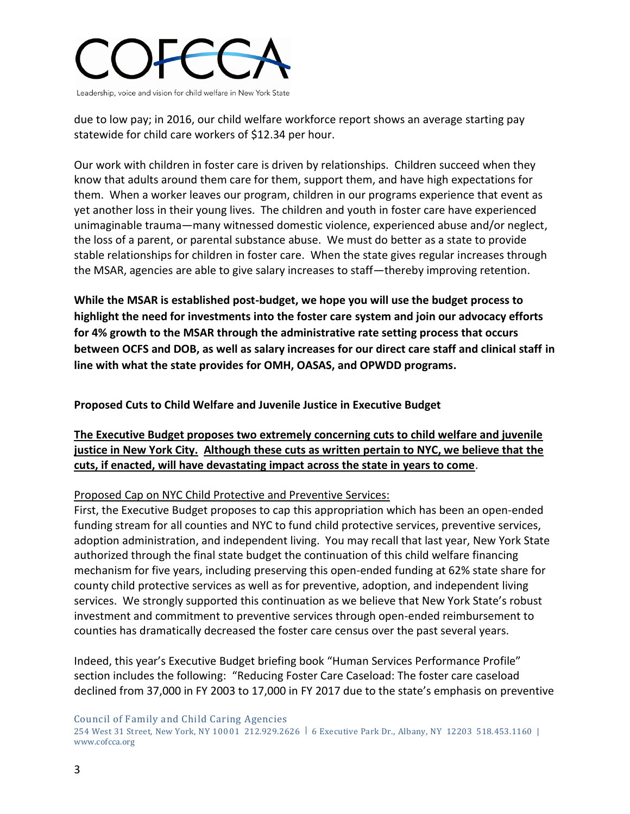

due to low pay; in 2016, our child welfare workforce report shows an average starting pay statewide for child care workers of \$12.34 per hour.

Our work with children in foster care is driven by relationships. Children succeed when they know that adults around them care for them, support them, and have high expectations for them. When a worker leaves our program, children in our programs experience that event as yet another loss in their young lives. The children and youth in foster care have experienced unimaginable trauma—many witnessed domestic violence, experienced abuse and/or neglect, the loss of a parent, or parental substance abuse. We must do better as a state to provide stable relationships for children in foster care. When the state gives regular increases through the MSAR, agencies are able to give salary increases to staff—thereby improving retention.

**While the MSAR is established post-budget, we hope you will use the budget process to highlight the need for investments into the foster care system and join our advocacy efforts for 4% growth to the MSAR through the administrative rate setting process that occurs between OCFS and DOB, as well as salary increases for our direct care staff and clinical staff in line with what the state provides for OMH, OASAS, and OPWDD programs.** 

**Proposed Cuts to Child Welfare and Juvenile Justice in Executive Budget** 

**The Executive Budget proposes two extremely concerning cuts to child welfare and juvenile justice in New York City. Although these cuts as written pertain to NYC, we believe that the cuts, if enacted, will have devastating impact across the state in years to come**.

Proposed Cap on NYC Child Protective and Preventive Services:

First, the Executive Budget proposes to cap this appropriation which has been an open-ended funding stream for all counties and NYC to fund child protective services, preventive services, adoption administration, and independent living. You may recall that last year, New York State authorized through the final state budget the continuation of this child welfare financing mechanism for five years, including preserving this open-ended funding at 62% state share for county child protective services as well as for preventive, adoption, and independent living services. We strongly supported this continuation as we believe that New York State's robust investment and commitment to preventive services through open-ended reimbursement to counties has dramatically decreased the foster care census over the past several years.

Indeed, this year's Executive Budget briefing book "Human Services Performance Profile" section includes the following: "Reducing Foster Care Caseload: The foster care caseload declined from 37,000 in FY 2003 to 17,000 in FY 2017 due to the state's emphasis on preventive

Council of Family and Child Caring Agencies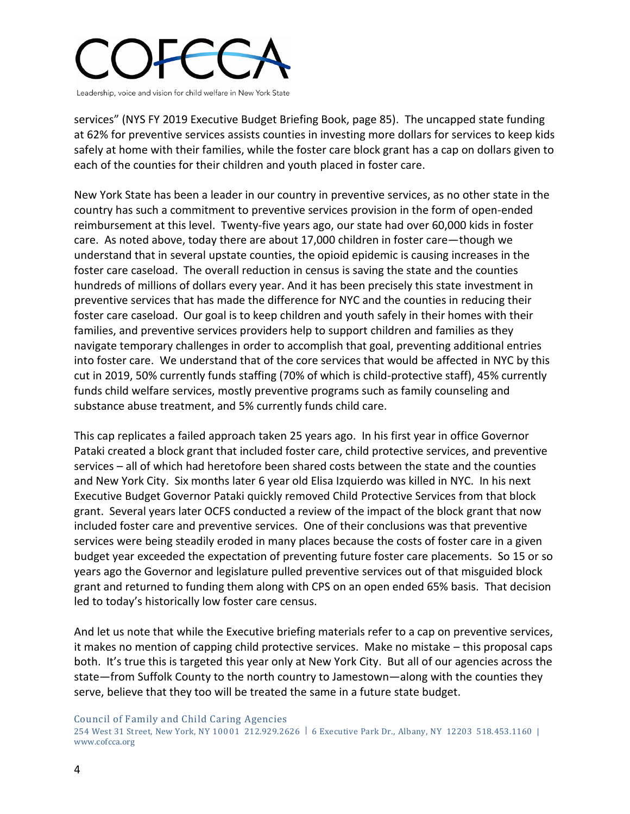

services" (NYS FY 2019 Executive Budget Briefing Book, page 85). The uncapped state funding at 62% for preventive services assists counties in investing more dollars for services to keep kids safely at home with their families, while the foster care block grant has a cap on dollars given to each of the counties for their children and youth placed in foster care.

New York State has been a leader in our country in preventive services, as no other state in the country has such a commitment to preventive services provision in the form of open-ended reimbursement at this level. Twenty-five years ago, our state had over 60,000 kids in foster care. As noted above, today there are about 17,000 children in foster care—though we understand that in several upstate counties, the opioid epidemic is causing increases in the foster care caseload. The overall reduction in census is saving the state and the counties hundreds of millions of dollars every year. And it has been precisely this state investment in preventive services that has made the difference for NYC and the counties in reducing their foster care caseload. Our goal is to keep children and youth safely in their homes with their families, and preventive services providers help to support children and families as they navigate temporary challenges in order to accomplish that goal, preventing additional entries into foster care. We understand that of the core services that would be affected in NYC by this cut in 2019, 50% currently funds staffing (70% of which is child-protective staff), 45% currently funds child welfare services, mostly preventive programs such as family counseling and substance abuse treatment, and 5% currently funds child care.

This cap replicates a failed approach taken 25 years ago. In his first year in office Governor Pataki created a block grant that included foster care, child protective services, and preventive services – all of which had heretofore been shared costs between the state and the counties and New York City. Six months later 6 year old Elisa Izquierdo was killed in NYC. In his next Executive Budget Governor Pataki quickly removed Child Protective Services from that block grant. Several years later OCFS conducted a review of the impact of the block grant that now included foster care and preventive services. One of their conclusions was that preventive services were being steadily eroded in many places because the costs of foster care in a given budget year exceeded the expectation of preventing future foster care placements. So 15 or so years ago the Governor and legislature pulled preventive services out of that misguided block grant and returned to funding them along with CPS on an open ended 65% basis. That decision led to today's historically low foster care census.

And let us note that while the Executive briefing materials refer to a cap on preventive services, it makes no mention of capping child protective services. Make no mistake – this proposal caps both. It's true this is targeted this year only at New York City. But all of our agencies across the state—from Suffolk County to the north country to Jamestown—along with the counties they serve, believe that they too will be treated the same in a future state budget.

Council of Family and Child Caring Agencies

<sup>254</sup> West 31 Street, New York, NY 10001 212.929.2626 | 6 Executive Park Dr., Albany, NY 12203 518.453.1160 | www.cofcca.org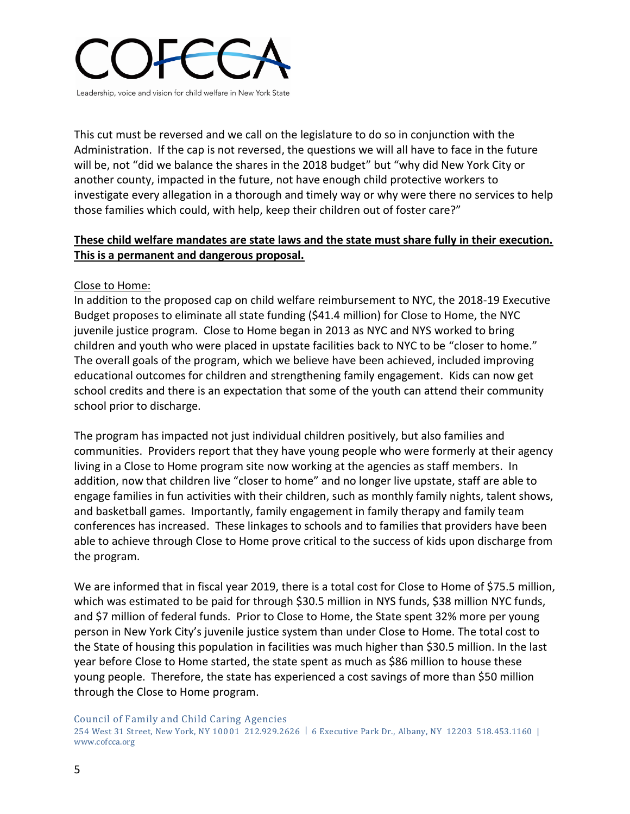

This cut must be reversed and we call on the legislature to do so in conjunction with the Administration. If the cap is not reversed, the questions we will all have to face in the future will be, not "did we balance the shares in the 2018 budget" but "why did New York City or another county, impacted in the future, not have enough child protective workers to investigate every allegation in a thorough and timely way or why were there no services to help those families which could, with help, keep their children out of foster care?"

### **These child welfare mandates are state laws and the state must share fully in their execution. This is a permanent and dangerous proposal.**

### Close to Home:

In addition to the proposed cap on child welfare reimbursement to NYC, the 2018-19 Executive Budget proposes to eliminate all state funding (\$41.4 million) for Close to Home, the NYC juvenile justice program. Close to Home began in 2013 as NYC and NYS worked to bring children and youth who were placed in upstate facilities back to NYC to be "closer to home." The overall goals of the program, which we believe have been achieved, included improving educational outcomes for children and strengthening family engagement. Kids can now get school credits and there is an expectation that some of the youth can attend their community school prior to discharge.

The program has impacted not just individual children positively, but also families and communities. Providers report that they have young people who were formerly at their agency living in a Close to Home program site now working at the agencies as staff members. In addition, now that children live "closer to home" and no longer live upstate, staff are able to engage families in fun activities with their children, such as monthly family nights, talent shows, and basketball games. Importantly, family engagement in family therapy and family team conferences has increased. These linkages to schools and to families that providers have been able to achieve through Close to Home prove critical to the success of kids upon discharge from the program.

We are informed that in fiscal year 2019, there is a total cost for Close to Home of \$75.5 million, which was estimated to be paid for through \$30.5 million in NYS funds, \$38 million NYC funds, and \$7 million of federal funds. Prior to Close to Home, the State spent 32% more per young person in New York City's juvenile justice system than under Close to Home. The total cost to the State of housing this population in facilities was much higher than \$30.5 million. In the last year before Close to Home started, the state spent as much as \$86 million to house these young people. Therefore, the state has experienced a cost savings of more than \$50 million through the Close to Home program.

Council of Family and Child Caring Agencies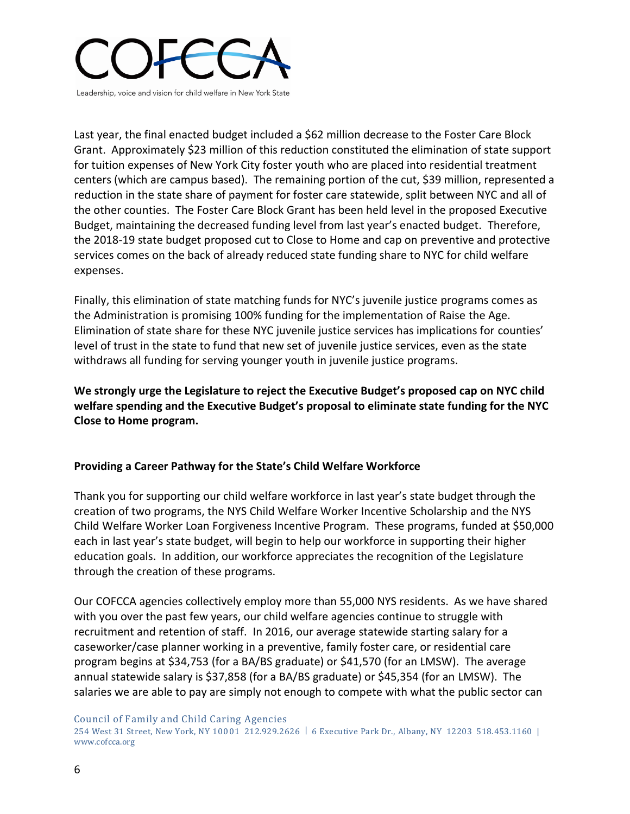

Last year, the final enacted budget included a \$62 million decrease to the Foster Care Block Grant. Approximately \$23 million of this reduction constituted the elimination of state support for tuition expenses of New York City foster youth who are placed into residential treatment centers (which are campus based). The remaining portion of the cut, \$39 million, represented a reduction in the state share of payment for foster care statewide, split between NYC and all of the other counties. The Foster Care Block Grant has been held level in the proposed Executive Budget, maintaining the decreased funding level from last year's enacted budget. Therefore, the 2018-19 state budget proposed cut to Close to Home and cap on preventive and protective services comes on the back of already reduced state funding share to NYC for child welfare expenses.

Finally, this elimination of state matching funds for NYC's juvenile justice programs comes as the Administration is promising 100% funding for the implementation of Raise the Age. Elimination of state share for these NYC juvenile justice services has implications for counties' level of trust in the state to fund that new set of juvenile justice services, even as the state withdraws all funding for serving younger youth in juvenile justice programs.

**We strongly urge the Legislature to reject the Executive Budget's proposed cap on NYC child welfare spending and the Executive Budget's proposal to eliminate state funding for the NYC Close to Home program.** 

### **Providing a Career Pathway for the State's Child Welfare Workforce**

Thank you for supporting our child welfare workforce in last year's state budget through the creation of two programs, the NYS Child Welfare Worker Incentive Scholarship and the NYS Child Welfare Worker Loan Forgiveness Incentive Program. These programs, funded at \$50,000 each in last year's state budget, will begin to help our workforce in supporting their higher education goals. In addition, our workforce appreciates the recognition of the Legislature through the creation of these programs.

Our COFCCA agencies collectively employ more than 55,000 NYS residents. As we have shared with you over the past few years, our child welfare agencies continue to struggle with recruitment and retention of staff. In 2016, our average statewide starting salary for a caseworker/case planner working in a preventive, family foster care, or residential care program begins at \$34,753 (for a BA/BS graduate) or \$41,570 (for an LMSW). The average annual statewide salary is \$37,858 (for a BA/BS graduate) or \$45,354 (for an LMSW). The salaries we are able to pay are simply not enough to compete with what the public sector can

Council of Family and Child Caring Agencies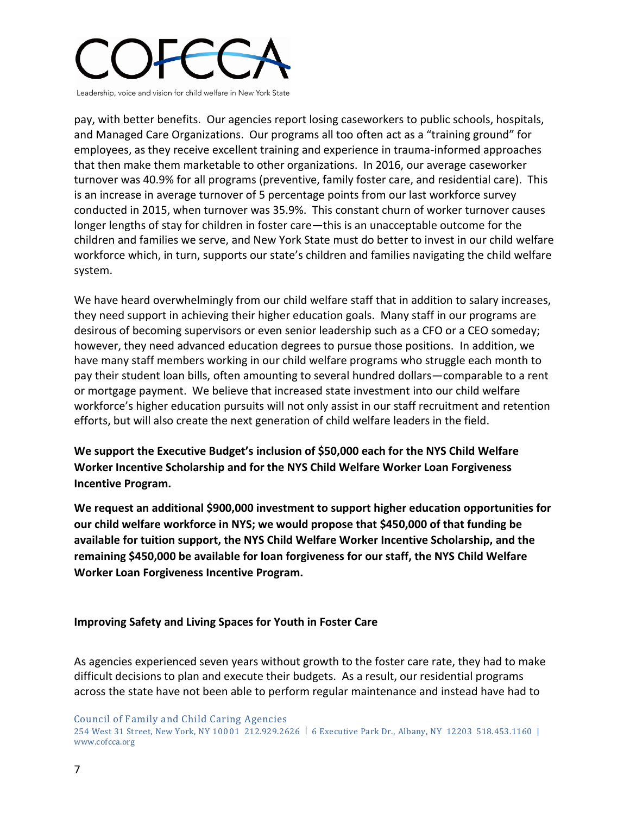

pay, with better benefits. Our agencies report losing caseworkers to public schools, hospitals, and Managed Care Organizations. Our programs all too often act as a "training ground" for employees, as they receive excellent training and experience in trauma-informed approaches that then make them marketable to other organizations. In 2016, our average caseworker turnover was 40.9% for all programs (preventive, family foster care, and residential care). This is an increase in average turnover of 5 percentage points from our last workforce survey conducted in 2015, when turnover was 35.9%. This constant churn of worker turnover causes longer lengths of stay for children in foster care—this is an unacceptable outcome for the children and families we serve, and New York State must do better to invest in our child welfare workforce which, in turn, supports our state's children and families navigating the child welfare system.

We have heard overwhelmingly from our child welfare staff that in addition to salary increases, they need support in achieving their higher education goals. Many staff in our programs are desirous of becoming supervisors or even senior leadership such as a CFO or a CEO someday; however, they need advanced education degrees to pursue those positions. In addition, we have many staff members working in our child welfare programs who struggle each month to pay their student loan bills, often amounting to several hundred dollars—comparable to a rent or mortgage payment. We believe that increased state investment into our child welfare workforce's higher education pursuits will not only assist in our staff recruitment and retention efforts, but will also create the next generation of child welfare leaders in the field.

**We support the Executive Budget's inclusion of \$50,000 each for the NYS Child Welfare Worker Incentive Scholarship and for the NYS Child Welfare Worker Loan Forgiveness Incentive Program.** 

**We request an additional \$900,000 investment to support higher education opportunities for our child welfare workforce in NYS; we would propose that \$450,000 of that funding be available for tuition support, the NYS Child Welfare Worker Incentive Scholarship, and the remaining \$450,000 be available for loan forgiveness for our staff, the NYS Child Welfare Worker Loan Forgiveness Incentive Program.** 

### **Improving Safety and Living Spaces for Youth in Foster Care**

As agencies experienced seven years without growth to the foster care rate, they had to make difficult decisions to plan and execute their budgets. As a result, our residential programs across the state have not been able to perform regular maintenance and instead have had to

Council of Family and Child Caring Agencies 254 West 31 Street, New York, NY 10001 212.929.2626 | 6 Executive Park Dr., Albany, NY 12203 518.453.1160 | www.cofcca.org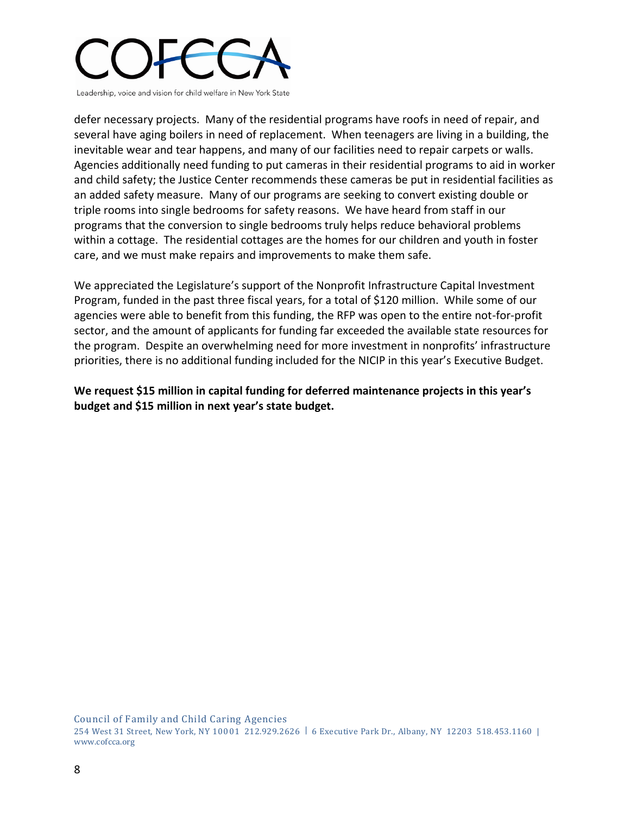

defer necessary projects. Many of the residential programs have roofs in need of repair, and several have aging boilers in need of replacement. When teenagers are living in a building, the inevitable wear and tear happens, and many of our facilities need to repair carpets or walls. Agencies additionally need funding to put cameras in their residential programs to aid in worker and child safety; the Justice Center recommends these cameras be put in residential facilities as an added safety measure. Many of our programs are seeking to convert existing double or triple rooms into single bedrooms for safety reasons. We have heard from staff in our programs that the conversion to single bedrooms truly helps reduce behavioral problems within a cottage. The residential cottages are the homes for our children and youth in foster care, and we must make repairs and improvements to make them safe.

We appreciated the Legislature's support of the Nonprofit Infrastructure Capital Investment Program, funded in the past three fiscal years, for a total of \$120 million. While some of our agencies were able to benefit from this funding, the RFP was open to the entire not-for-profit sector, and the amount of applicants for funding far exceeded the available state resources for the program. Despite an overwhelming need for more investment in nonprofits' infrastructure priorities, there is no additional funding included for the NICIP in this year's Executive Budget.

**We request \$15 million in capital funding for deferred maintenance projects in this year's budget and \$15 million in next year's state budget.**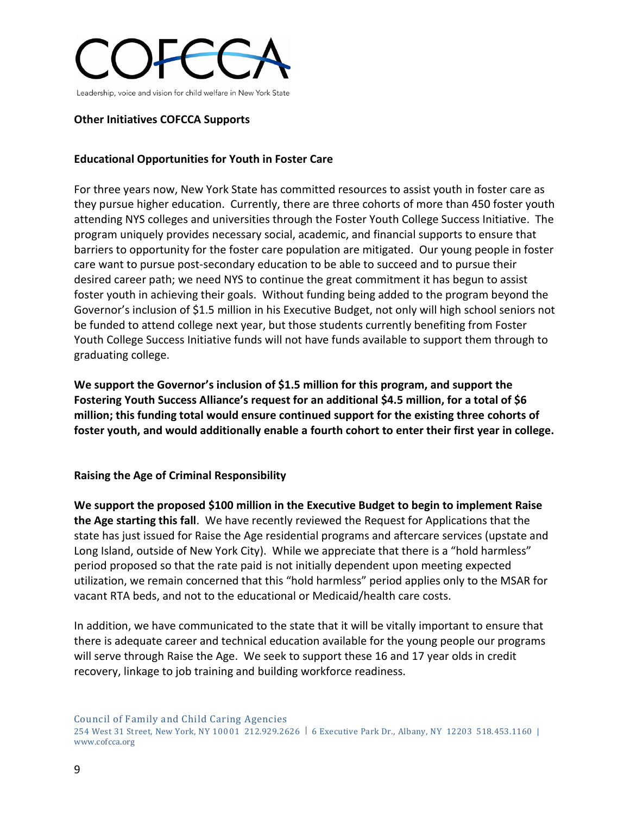

#### **Other Initiatives COFCCA Supports**

### **Educational Opportunities for Youth in Foster Care**

For three years now, New York State has committed resources to assist youth in foster care as they pursue higher education. Currently, there are three cohorts of more than 450 foster youth attending NYS colleges and universities through the Foster Youth College Success Initiative. The program uniquely provides necessary social, academic, and financial supports to ensure that barriers to opportunity for the foster care population are mitigated. Our young people in foster care want to pursue post-secondary education to be able to succeed and to pursue their desired career path; we need NYS to continue the great commitment it has begun to assist foster youth in achieving their goals. Without funding being added to the program beyond the Governor's inclusion of \$1.5 million in his Executive Budget, not only will high school seniors not be funded to attend college next year, but those students currently benefiting from Foster Youth College Success Initiative funds will not have funds available to support them through to graduating college.

**We support the Governor's inclusion of \$1.5 million for this program, and support the Fostering Youth Success Alliance's request for an additional \$4.5 million, for a total of \$6 million; this funding total would ensure continued support for the existing three cohorts of foster youth, and would additionally enable a fourth cohort to enter their first year in college.** 

#### **Raising the Age of Criminal Responsibility**

**We support the proposed \$100 million in the Executive Budget to begin to implement Raise the Age starting this fall**. We have recently reviewed the Request for Applications that the state has just issued for Raise the Age residential programs and aftercare services (upstate and Long Island, outside of New York City). While we appreciate that there is a "hold harmless" period proposed so that the rate paid is not initially dependent upon meeting expected utilization, we remain concerned that this "hold harmless" period applies only to the MSAR for vacant RTA beds, and not to the educational or Medicaid/health care costs.

In addition, we have communicated to the state that it will be vitally important to ensure that there is adequate career and technical education available for the young people our programs will serve through Raise the Age. We seek to support these 16 and 17 year olds in credit recovery, linkage to job training and building workforce readiness.

Council of Family and Child Caring Agencies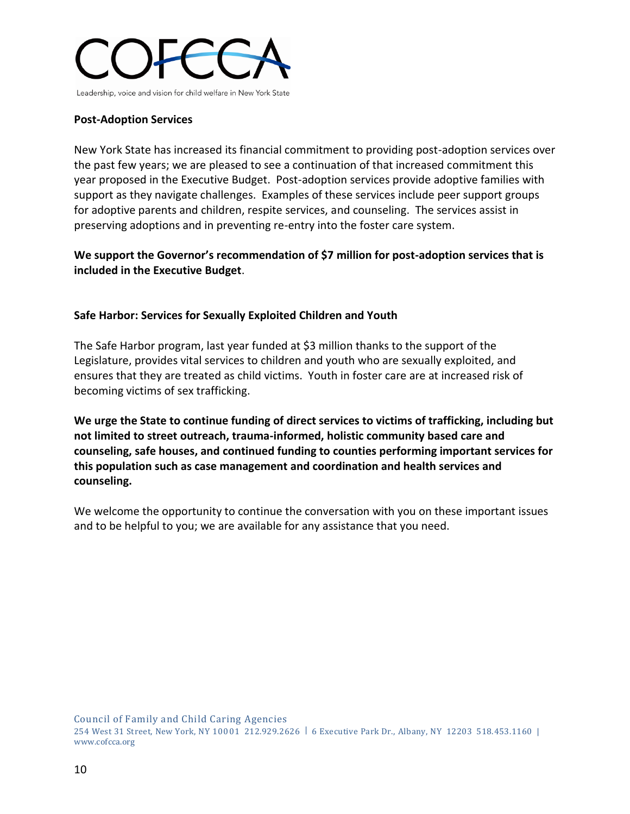

#### **Post-Adoption Services**

New York State has increased its financial commitment to providing post-adoption services over the past few years; we are pleased to see a continuation of that increased commitment this year proposed in the Executive Budget. Post-adoption services provide adoptive families with support as they navigate challenges. Examples of these services include peer support groups for adoptive parents and children, respite services, and counseling. The services assist in preserving adoptions and in preventing re-entry into the foster care system.

**We support the Governor's recommendation of \$7 million for post-adoption services that is included in the Executive Budget**.

### **Safe Harbor: Services for Sexually Exploited Children and Youth**

The Safe Harbor program, last year funded at \$3 million thanks to the support of the Legislature, provides vital services to children and youth who are sexually exploited, and ensures that they are treated as child victims. Youth in foster care are at increased risk of becoming victims of sex trafficking.

**We urge the State to continue funding of direct services to victims of trafficking, including but not limited to street outreach, trauma-informed, holistic community based care and counseling, safe houses, and continued funding to counties performing important services for this population such as case management and coordination and health services and counseling.**

We welcome the opportunity to continue the conversation with you on these important issues and to be helpful to you; we are available for any assistance that you need.

Council of Family and Child Caring Agencies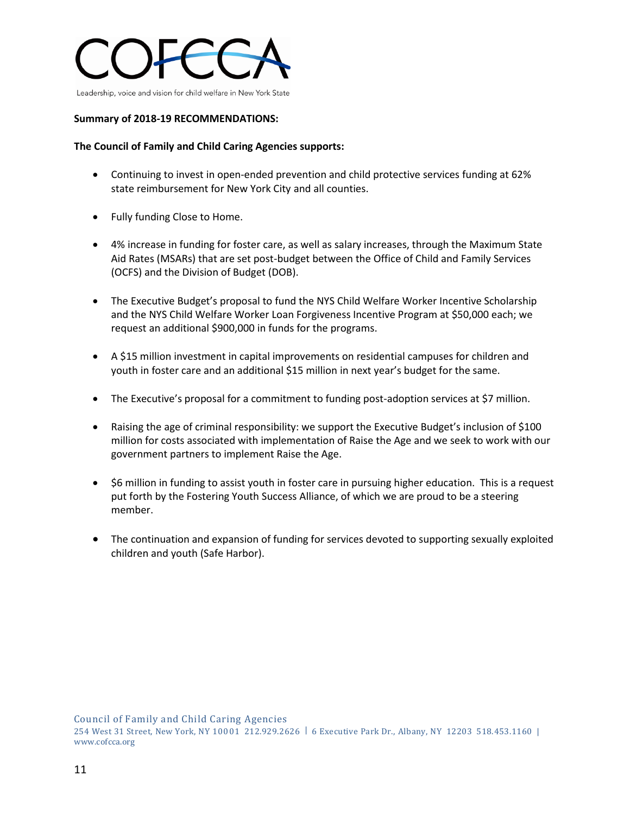

#### **Summary of 2018-19 RECOMMENDATIONS:**

#### **The Council of Family and Child Caring Agencies supports:**

- Continuing to invest in open-ended prevention and child protective services funding at 62% state reimbursement for New York City and all counties.
- Fully funding Close to Home.
- 4% increase in funding for foster care, as well as salary increases, through the Maximum State Aid Rates (MSARs) that are set post-budget between the Office of Child and Family Services (OCFS) and the Division of Budget (DOB).
- The Executive Budget's proposal to fund the NYS Child Welfare Worker Incentive Scholarship and the NYS Child Welfare Worker Loan Forgiveness Incentive Program at \$50,000 each; we request an additional \$900,000 in funds for the programs.
- A \$15 million investment in capital improvements on residential campuses for children and youth in foster care and an additional \$15 million in next year's budget for the same.
- The Executive's proposal for a commitment to funding post-adoption services at \$7 million.
- Raising the age of criminal responsibility: we support the Executive Budget's inclusion of \$100 million for costs associated with implementation of Raise the Age and we seek to work with our government partners to implement Raise the Age.
- \$6 million in funding to assist youth in foster care in pursuing higher education. This is a request put forth by the Fostering Youth Success Alliance, of which we are proud to be a steering member.
- The continuation and expansion of funding for services devoted to supporting sexually exploited children and youth (Safe Harbor).

Council of Family and Child Caring Agencies